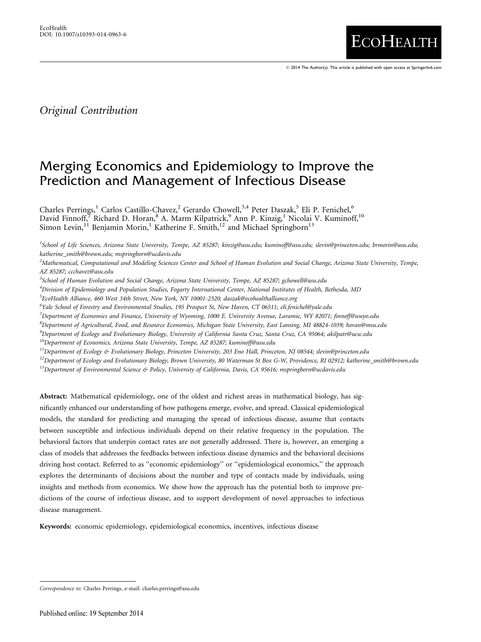$©$  2014 The Author(s). This article is published with open access at Springerlink.com

**ECOHEALTH** 

## Original Contribution

# Merging Economics and Epidemiology to Improve the Prediction and Management of Infectious Disease

Charles Perrings,<sup>1</sup> Carlos Castillo-Chavez,<sup>2</sup> Gerardo Chowell,<sup>3,4</sup> Peter Daszak,<sup>5</sup> Eli P. Fenichel,<sup>6</sup> David Finnoff, Richard D. Horan, A. Marm Kilpatrick, Ann P. Kinzig, *Nicolai V. Kuminoff*, <sup>10</sup> Simon Levin,<sup>11</sup> Benjamin Morin,<sup>1</sup> Katherine F. Smith,<sup>12</sup> and Michael Springborn<sup>13</sup>

1 School of Life Sciences, Arizona State University, Tempe, AZ 85287; kinzig@asu.edu; kuminoff@asu.edu; slevin@princeton.edu; brmorin@asu.edu; katherine\_smith@brown.edu; mspringborn@ucdavis.edu

<sup>2</sup>Mathematical, Computational and Modeling Sciences Center and School of Human Evolution and Social Change, Arizona State University, Tempe, AZ 85287; ccchavez@asu.edu

<sup>3</sup>School of Human Evolution and Social Change, Arizona State University, Tempe, AZ 85287; gchowell@asu.edu

4 Division of Epidemiology and Population Studies, Fogarty International Center, National Institutes of Health, Bethesda, MD

<sup>5</sup>EcoHealth Alliance, 460 West 34th Street, New York, NY 10001-2320; daszak@ecohealthalliance.org

6 Yale School of Forestry and Environmental Studies, 195 Prospect St, New Haven, CT 06511; eli.fenichel@yale.edu

7 Department of Economics and Finance, University of Wyoming, 1000 E. University Avenue, Laramie, WY 82071; finnoff@uwyo.edu

8 Department of Agricultural, Food, and Resource Economics, Michigan State University, East Lansing, MI 48824-1039; horan@msu.edu

9 Department of Ecology and Evolutionary Biology, University of California Santa Cruz, Santa Cruz, CA 95064; akilpatr@ucsc.edu

<sup>10</sup>Department of Economics, Arizona State University, Tempe, AZ 85287; kuminoff@asu.edu

11Department of Ecology & Evolutionary Biology, Princeton University, 203 Eno Hall, Princeton, NJ 08544; slevin@princeton.edu

<sup>12</sup>Department of Ecology and Evolutionary Biology, Brown University, 80 Waterman St Box G-W, Providence, RI 02912; katherine\_smith@brown.edu

<sup>13</sup>Department of Environmental Science & Policy, University of California, Davis, CA 95616; mspringborn@ucdavis.edu

Abstract: Mathematical epidemiology, one of the oldest and richest areas in mathematical biology, has significantly enhanced our understanding of how pathogens emerge, evolve, and spread. Classical epidemiological models, the standard for predicting and managing the spread of infectious disease, assume that contacts between susceptible and infectious individuals depend on their relative frequency in the population. The behavioral factors that underpin contact rates are not generally addressed. There is, however, an emerging a class of models that addresses the feedbacks between infectious disease dynamics and the behavioral decisions driving host contact. Referred to as ''economic epidemiology'' or ''epidemiological economics,'' the approach explores the determinants of decisions about the number and type of contacts made by individuals, using insights and methods from economics. We show how the approach has the potential both to improve predictions of the course of infectious disease, and to support development of novel approaches to infectious disease management.

Keywords: economic epidemiology, epidemiological economics, incentives, infectious disease

Correspondence to: Charles Perrings, e-mail: charles.perrings@asu.edu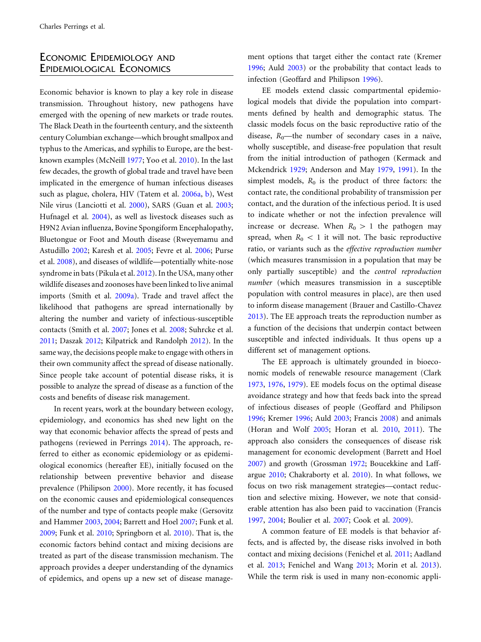## ECONOMIC EPIDEMIOLOGY AND EPIDEMIOLOGICAL ECONOMICS

Economic behavior is known to play a key role in disease transmission. Throughout history, new pathogens have emerged with the opening of new markets or trade routes. The Black Death in the fourteenth century, and the sixteenth century Columbian exchange—which brought smallpox and typhus to the Americas, and syphilis to Europe, are the bestknown examples (McNeill [1977;](#page-10-0) Yoo et al. [2010\)](#page-11-0). In the last few decades, the growth of global trade and travel have been implicated in the emergence of human infectious diseases such as plague, cholera, HIV (Tatem et al. [2006a,](#page-11-0) [b\)](#page-11-0), West Nile virus (Lanciotti et al. [2000](#page-10-0)), SARS (Guan et al. [2003;](#page-9-0) Hufnagel et al. [2004](#page-9-0)), as well as livestock diseases such as H9N2 Avian influenza, Bovine Spongiform Encephalopathy, Bluetongue or Foot and Mouth disease (Rweyemamu and Astudillo [2002](#page-10-0); Karesh et al. [2005;](#page-9-0) Fevre et al. [2006;](#page-9-0) Purse et al. [2008](#page-10-0)), and diseases of wildlife—potentially white-nose syndrome in bats (Pikula et al. [2012\)](#page-10-0). In the USA, many other wildlife diseases and zoonoses have been linked to live animal imports (Smith et al. [2009a\)](#page-10-0). Trade and travel affect the likelihood that pathogens are spread internationally by altering the number and variety of infectious-susceptible contacts (Smith et al. [2007;](#page-10-0) Jones et al. [2008](#page-9-0); Suhrcke et al. [2011](#page-11-0); Daszak [2012;](#page-8-0) Kilpatrick and Randolph [2012\)](#page-10-0). In the same way, the decisions people make to engage with others in their own community affect the spread of disease nationally. Since people take account of potential disease risks, it is possible to analyze the spread of disease as a function of the costs and benefits of disease risk management.

In recent years, work at the boundary between ecology, epidemiology, and economics has shed new light on the way that economic behavior affects the spread of pests and pathogens (reviewed in Perrings [2014](#page-10-0)). The approach, referred to either as economic epidemiology or as epidemiological economics (hereafter EE), initially focused on the relationship between preventive behavior and disease prevalence (Philipson [2000](#page-10-0)). More recently, it has focused on the economic causes and epidemiological consequences of the number and type of contacts people make (Gersovitz and Hammer [2003](#page-9-0), [2004;](#page-9-0) Barrett and Hoel [2007](#page-8-0); Funk et al. [2009](#page-9-0); Funk et al. [2010](#page-9-0); Springborn et al. [2010](#page-10-0)). That is, the economic factors behind contact and mixing decisions are treated as part of the disease transmission mechanism. The approach provides a deeper understanding of the dynamics of epidemics, and opens up a new set of disease management options that target either the contact rate (Kremer [1996](#page-10-0); Auld [2003](#page-8-0)) or the probability that contact leads to infection (Geoffard and Philipson [1996\)](#page-9-0).

EE models extend classic compartmental epidemiological models that divide the population into compartments defined by health and demographic status. The classic models focus on the basic reproductive ratio of the disease,  $R_0$ —the number of secondary cases in a naïve, wholly susceptible, and disease-free population that result from the initial introduction of pathogen (Kermack and Mckendrick [1929](#page-10-0); Anderson and May [1979](#page-8-0), [1991](#page-8-0)). In the simplest models,  $R_0$  is the product of three factors: the contact rate, the conditional probability of transmission per contact, and the duration of the infectious period. It is used to indicate whether or not the infection prevalence will increase or decrease. When  $R_0 > 1$  the pathogen may spread, when  $R_0 < 1$  it will not. The basic reproductive ratio, or variants such as the effective reproduction number (which measures transmission in a population that may be only partially susceptible) and the control reproduction number (which measures transmission in a susceptible population with control measures in place), are then used to inform disease management (Brauer and Castillo-Chavez [2013](#page-8-0)). The EE approach treats the reproduction number as a function of the decisions that underpin contact between susceptible and infected individuals. It thus opens up a different set of management options.

The EE approach is ultimately grounded in bioeconomic models of renewable resource management (Clark [1973](#page-8-0), [1976,](#page-8-0) [1979](#page-8-0)). EE models focus on the optimal disease avoidance strategy and how that feeds back into the spread of infectious diseases of people (Geoffard and Philipson [1996](#page-9-0); Kremer [1996;](#page-10-0) Auld [2003](#page-8-0); Francis [2008\)](#page-9-0) and animals (Horan and Wolf [2005](#page-9-0); Horan et al. [2010](#page-9-0), [2011](#page-9-0)). The approach also considers the consequences of disease risk management for economic development (Barrett and Hoel [2007](#page-8-0)) and growth (Grossman [1972;](#page-9-0) Boucekkine and Laffargue [2010;](#page-8-0) Chakraborty et al. [2010](#page-8-0)). In what follows, we focus on two risk management strategies—contact reduction and selective mixing. However, we note that considerable attention has also been paid to vaccination (Francis [1997](#page-9-0), [2004;](#page-9-0) Boulier et al. [2007;](#page-8-0) Cook et al. [2009\)](#page-8-0).

A common feature of EE models is that behavior affects, and is affected by, the disease risks involved in both contact and mixing decisions (Fenichel et al. [2011](#page-9-0); Aadland et al. [2013;](#page-8-0) Fenichel and Wang [2013](#page-9-0); Morin et al. [2013\)](#page-10-0). While the term risk is used in many non-economic appli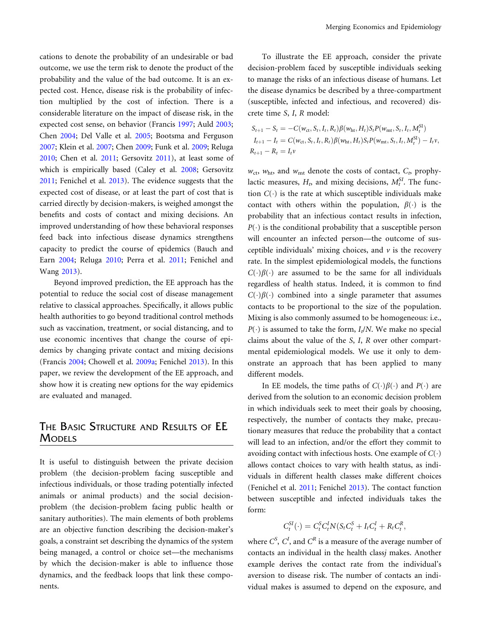cations to denote the probability of an undesirable or bad outcome, we use the term risk to denote the product of the probability and the value of the bad outcome. It is an expected cost. Hence, disease risk is the probability of infection multiplied by the cost of infection. There is a considerable literature on the impact of disease risk, in the expected cost sense, on behavior (Francis [1997;](#page-9-0) Auld [2003;](#page-8-0) Chen [2004;](#page-8-0) Del Valle et al. [2005;](#page-8-0) Bootsma and Ferguson [2007](#page-8-0); Klein et al. [2007](#page-10-0); Chen [2009](#page-8-0); Funk et al. [2009;](#page-9-0) Reluga [2010](#page-10-0); Chen et al. [2011;](#page-8-0) Gersovitz [2011](#page-9-0)), at least some of which is empirically based (Caley et al. [2008;](#page-8-0) Gersovitz [2011](#page-9-0); Fenichel et al. [2013](#page-9-0)). The evidence suggests that the expected cost of disease, or at least the part of cost that is carried directly by decision-makers, is weighed amongst the benefits and costs of contact and mixing decisions. An improved understanding of how these behavioral responses feed back into infectious disease dynamics strengthens capacity to predict the course of epidemics (Bauch and Earn [2004;](#page-8-0) Reluga [2010;](#page-10-0) Perra et al. [2011;](#page-10-0) Fenichel and Wang [2013](#page-9-0)).

Beyond improved prediction, the EE approach has the potential to reduce the social cost of disease management relative to classical approaches. Specifically, it allows public health authorities to go beyond traditional control methods such as vaccination, treatment, or social distancing, and to use economic incentives that change the course of epidemics by changing private contact and mixing decisions (Francis [2004;](#page-9-0) Chowell et al. [2009a](#page-8-0); Fenichel [2013](#page-8-0)). In this paper, we review the development of the EE approach, and show how it is creating new options for the way epidemics are evaluated and managed.

### THE BASIC STRUCTURE AND RESULTS OF EE **MODELS**

It is useful to distinguish between the private decision problem (the decision-problem facing susceptible and infectious individuals, or those trading potentially infected animals or animal products) and the social decisionproblem (the decision-problem facing public health or sanitary authorities). The main elements of both problems are an objective function describing the decision-maker's goals, a constraint set describing the dynamics of the system being managed, a control or choice set—the mechanisms by which the decision-maker is able to influence those dynamics, and the feedback loops that link these components.

To illustrate the EE approach, consider the private decision-problem faced by susceptible individuals seeking to manage the risks of an infectious disease of humans. Let the disease dynamics be described by a three-compartment (susceptible, infected and infectious, and recovered) discrete time S, I, R model:

$$
S_{t+1} - S_t = -C(w_{\text{ct}}, S_t, I_t, R_t) \beta(w_{\text{ht}}, H_t) S_t P(w_{\text{mt}}, S_t, I_t, M_t^{SI})
$$
  
\n
$$
I_{t+1} - I_t = C(w_{\text{ct}}, S_t, I_t, R_t) \beta(w_{\text{ht}}, H_t) S_t P(w_{\text{mt}}, S_t, I_t, M_t^{SI}) - I_t v,
$$
  
\n
$$
R_{t+1} - R_t = I_t v
$$

 $w_{\text{ct}}$ ,  $w_{\text{ht}}$  and  $w_{\text{mt}}$  denote the costs of contact,  $C_b$  prophylactic measures,  $H_b$  and mixing decisions,  $M_t^{SI}$ . The function  $C(\cdot)$  is the rate at which susceptible individuals make contact with others within the population,  $\beta(\cdot)$  is the probability that an infectious contact results in infection,  $P(\cdot)$  is the conditional probability that a susceptible person will encounter an infected person—the outcome of susceptible individuals' mixing choices, and  $\nu$  is the recovery rate. In the simplest epidemiological models, the functions  $C(\cdot)\beta(\cdot)$  are assumed to be the same for all individuals regardless of health status. Indeed, it is common to find  $C(\cdot)\beta(\cdot)$  combined into a single parameter that assumes contacts to be proportional to the size of the population. Mixing is also commonly assumed to be homogeneous: i.e.,  $P(\cdot)$  is assumed to take the form,  $I_t/N$ . We make no special claims about the value of the S, I, R over other compartmental epidemiological models. We use it only to demonstrate an approach that has been applied to many different models.

In EE models, the time paths of  $C(\cdot)\beta(\cdot)$  and  $P(\cdot)$  are derived from the solution to an economic decision problem in which individuals seek to meet their goals by choosing, respectively, the number of contacts they make, precautionary measures that reduce the probability that a contact will lead to an infection, and/or the effort they commit to avoiding contact with infectious hosts. One example of  $C(\cdot)$ allows contact choices to vary with health status, as individuals in different health classes make different choices (Fenichel et al. [2011;](#page-9-0) Fenichel [2013\)](#page-8-0). The contact function between susceptible and infected individuals takes the form:

$$
C_t^{SI}(\cdot) = C_t^{S} C_t^{I} N (S_t C_t^{S} + I_t C_t^{I} + R_t C_t^{R},
$$

where  $C^{\mathcal{S}},\,C^I$ , and  $C^R$  is a measure of the average number of contacts an individual in the health classj makes. Another example derives the contact rate from the individual's aversion to disease risk. The number of contacts an individual makes is assumed to depend on the exposure, and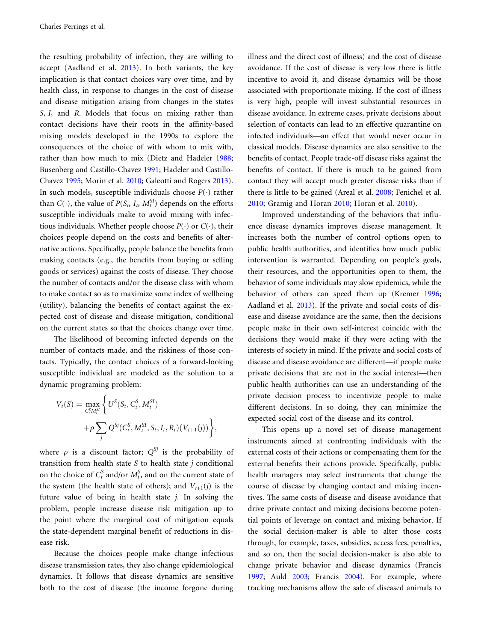the resulting probability of infection, they are willing to accept (Aadland et al. [2013](#page-8-0)). In both variants, the key implication is that contact choices vary over time, and by health class, in response to changes in the cost of disease and disease mitigation arising from changes in the states S, I, and R. Models that focus on mixing rather than contact decisions have their roots in the affinity-based mixing models developed in the 1990s to explore the consequences of the choice of with whom to mix with, rather than how much to mix (Dietz and Hadeler [1988;](#page-8-0) Busenberg and Castillo-Chavez [1991](#page-8-0); Hadeler and Castillo-Chavez [1995;](#page-9-0) Morin et al. [2010;](#page-10-0) Galeotti and Rogers [2013\)](#page-9-0). In such models, susceptible individuals choose  $P(\cdot)$  rather than  $C(\cdot)$ , the value of  $P(S_t, I_t, M_t^{SI})$  depends on the efforts susceptible individuals make to avoid mixing with infectious individuals. Whether people choose  $P(\cdot)$  or  $C(\cdot)$ , their choices people depend on the costs and benefits of alternative actions. Specifically, people balance the benefits from making contacts (e.g., the benefits from buying or selling goods or services) against the costs of disease. They choose the number of contacts and/or the disease class with whom to make contact so as to maximize some index of wellbeing (utility), balancing the benefits of contact against the expected cost of disease and disease mitigation, conditional on the current states so that the choices change over time.

The likelihood of becoming infected depends on the number of contacts made, and the riskiness of those contacts. Typically, the contact choices of a forward-looking susceptible individual are modeled as the solution to a dynamic programing problem:

$$
V_t(S) = \max_{C_t^S M_t^{SI}} \left\{ U^S(S_t, C_t^S, M_t^{SI}) + \rho \sum_j Q^{Sj}(C_t^S, M_t^{SI}, S_t, I_t, R_t)(V_{t+1}(j)) \right\},\,
$$

where  $\rho$  is a discount factor;  $Q^{sj}$  is the probability of transition from health state  $S$  to health state  $j$  conditional on the choice of  $C_t^S$  and/or  $M_t^S$ , and on the current state of the system (the health state of others); and  $V_{t+1}(j)$  is the future value of being in health state  $j$ . In solving the problem, people increase disease risk mitigation up to the point where the marginal cost of mitigation equals the state-dependent marginal benefit of reductions in disease risk.

Because the choices people make change infectious disease transmission rates, they also change epidemiological dynamics. It follows that disease dynamics are sensitive both to the cost of disease (the income forgone during

illness and the direct cost of illness) and the cost of disease avoidance. If the cost of disease is very low there is little incentive to avoid it, and disease dynamics will be those associated with proportionate mixing. If the cost of illness is very high, people will invest substantial resources in disease avoidance. In extreme cases, private decisions about selection of contacts can lead to an effective quarantine on infected individuals—an effect that would never occur in classical models. Disease dynamics are also sensitive to the benefits of contact. People trade-off disease risks against the benefits of contact. If there is much to be gained from contact they will accept much greater disease risks than if there is little to be gained (Areal et al. [2008](#page-8-0); Fenichel et al. [2010](#page-9-0); Gramig and Horan [2010;](#page-9-0) Horan et al. [2010](#page-9-0)).

Improved understanding of the behaviors that influence disease dynamics improves disease management. It increases both the number of control options open to public health authorities, and identifies how much public intervention is warranted. Depending on people's goals, their resources, and the opportunities open to them, the behavior of some individuals may slow epidemics, while the behavior of others can speed them up (Kremer [1996;](#page-10-0) Aadland et al. [2013](#page-8-0)). If the private and social costs of disease and disease avoidance are the same, then the decisions people make in their own self-interest coincide with the decisions they would make if they were acting with the interests of society in mind. If the private and social costs of disease and disease avoidance are different—if people make private decisions that are not in the social interest—then public health authorities can use an understanding of the private decision process to incentivize people to make different decisions. In so doing, they can minimize the expected social cost of the disease and its control.

This opens up a novel set of disease management instruments aimed at confronting individuals with the external costs of their actions or compensating them for the external benefits their actions provide. Specifically, public health managers may select instruments that change the course of disease by changing contact and mixing incentives. The same costs of disease and disease avoidance that drive private contact and mixing decisions become potential points of leverage on contact and mixing behavior. If the social decision-maker is able to alter those costs through, for example, taxes, subsidies, access fees, penalties, and so on, then the social decision-maker is also able to change private behavior and disease dynamics (Francis [1997](#page-9-0); Auld [2003](#page-8-0); Francis [2004](#page-9-0)). For example, where tracking mechanisms allow the sale of diseased animals to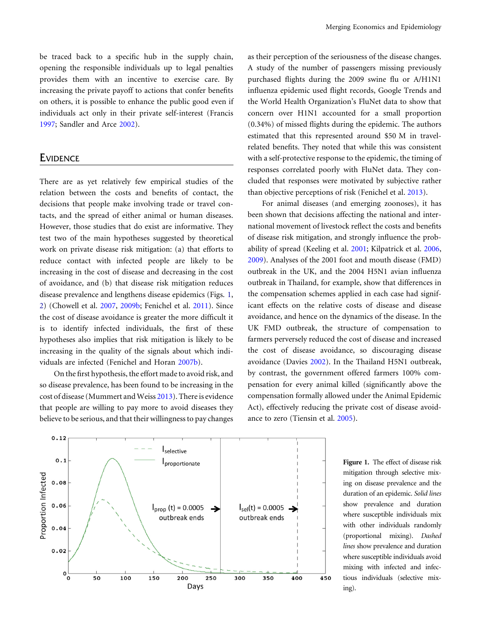be traced back to a specific hub in the supply chain, opening the responsible individuals up to legal penalties provides them with an incentive to exercise care. By increasing the private payoff to actions that confer benefits on others, it is possible to enhance the public good even if individuals act only in their private self-interest (Francis [1997](#page-9-0); Sandler and Arce [2002\)](#page-10-0).

#### **EVIDENCE**

There are as yet relatively few empirical studies of the relation between the costs and benefits of contact, the decisions that people make involving trade or travel contacts, and the spread of either animal or human diseases. However, those studies that do exist are informative. They test two of the main hypotheses suggested by theoretical work on private disease risk mitigation: (a) that efforts to reduce contact with infected people are likely to be increasing in the cost of disease and decreasing in the cost of avoidance, and (b) that disease risk mitigation reduces disease prevalence and lengthens disease epidemics (Figs. 1, [2\)](#page-5-0) (Chowell et al. [2007,](#page-8-0) [2009b;](#page-8-0) Fenichel et al. [2011](#page-9-0)). Since the cost of disease avoidance is greater the more difficult it is to identify infected individuals, the first of these hypotheses also implies that risk mitigation is likely to be increasing in the quality of the signals about which individuals are infected (Fenichel and Horan [2007b](#page-9-0)).

On the first hypothesis, the effort made to avoid risk, and so disease prevalence, has been found to be increasing in the cost of disease (Mummert and Weiss [2013](#page-10-0)). There is evidence that people are willing to pay more to avoid diseases they believe to be serious, and that their willingness to pay changes

as their perception of the seriousness of the disease changes. A study of the number of passengers missing previously purchased flights during the 2009 swine flu or A/H1N1 influenza epidemic used flight records, Google Trends and the World Health Organization's FluNet data to show that concern over H1N1 accounted for a small proportion (0.34%) of missed flights during the epidemic. The authors estimated that this represented around \$50 M in travelrelated benefits. They noted that while this was consistent with a self-protective response to the epidemic, the timing of responses correlated poorly with FluNet data. They concluded that responses were motivated by subjective rather than objective perceptions of risk (Fenichel et al. [2013](#page-9-0)).

For animal diseases (and emerging zoonoses), it has been shown that decisions affecting the national and international movement of livestock reflect the costs and benefits of disease risk mitigation, and strongly influence the probability of spread (Keeling et al. [2001;](#page-9-0) Kilpatrick et al. [2006,](#page-10-0) [2009](#page-10-0)). Analyses of the 2001 foot and mouth disease (FMD) outbreak in the UK, and the 2004 H5N1 avian influenza outbreak in Thailand, for example, show that differences in the compensation schemes applied in each case had significant effects on the relative costs of disease and disease avoidance, and hence on the dynamics of the disease. In the UK FMD outbreak, the structure of compensation to farmers perversely reduced the cost of disease and increased the cost of disease avoidance, so discouraging disease avoidance (Davies [2002](#page-8-0)). In the Thailand H5N1 outbreak, by contrast, the government offered farmers 100% compensation for every animal killed (significantly above the compensation formally allowed under the Animal Epidemic Act), effectively reducing the private cost of disease avoidance to zero (Tiensin et al. [2005\)](#page-11-0).



Figure 1. The effect of disease risk mitigation through selective mixing on disease prevalence and the duration of an epidemic. Solid lines show prevalence and duration where susceptible individuals mix with other individuals randomly (proportional mixing). Dashed lines show prevalence and duration where susceptible individuals avoid mixing with infected and infectious individuals (selective mixing).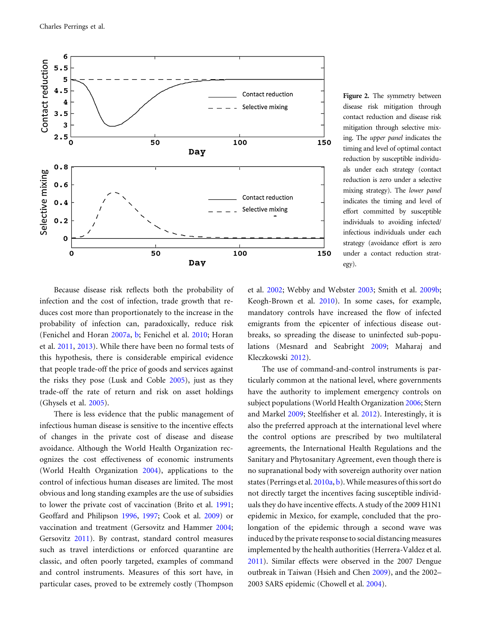<span id="page-5-0"></span>

Figure 2. The symmetry between disease risk mitigation through contact reduction and disease risk mitigation through selective mixing. The upper panel indicates the timing and level of optimal contact reduction by susceptible individuals under each strategy (contact reduction is zero under a selective mixing strategy). The lower panel indicates the timing and level of effort committed by susceptible individuals to avoiding infected/ infectious individuals under each strategy (avoidance effort is zero under a contact reduction strategy).

Because disease risk reflects both the probability of infection and the cost of infection, trade growth that reduces cost more than proportionately to the increase in the probability of infection can, paradoxically, reduce risk (Fenichel and Horan [2007a,](#page-9-0) [b;](#page-9-0) Fenichel et al. [2010](#page-9-0); Horan et al. [2011](#page-9-0), [2013\)](#page-9-0). While there have been no formal tests of this hypothesis, there is considerable empirical evidence that people trade-off the price of goods and services against the risks they pose (Lusk and Coble [2005](#page-10-0)), just as they trade-off the rate of return and risk on asset holdings (Ghysels et al. [2005\)](#page-9-0).

There is less evidence that the public management of infectious human disease is sensitive to the incentive effects of changes in the private cost of disease and disease avoidance. Although the World Health Organization recognizes the cost effectiveness of economic instruments (World Health Organization [2004](#page-11-0)), applications to the control of infectious human diseases are limited. The most obvious and long standing examples are the use of subsidies to lower the private cost of vaccination (Brito et al. [1991;](#page-8-0) Geoffard and Philipson [1996](#page-9-0), [1997;](#page-9-0) Cook et al. [2009](#page-8-0)) or vaccination and treatment (Gersovitz and Hammer [2004;](#page-9-0) Gersovitz [2011\)](#page-9-0). By contrast, standard control measures such as travel interdictions or enforced quarantine are classic, and often poorly targeted, examples of command and control instruments. Measures of this sort have, in particular cases, proved to be extremely costly (Thompson

et al. [2002;](#page-11-0) Webby and Webster [2003](#page-11-0); Smith et al. [2009b;](#page-10-0) Keogh-Brown et al. [2010](#page-10-0)). In some cases, for example, mandatory controls have increased the flow of infected emigrants from the epicenter of infectious disease outbreaks, so spreading the disease to uninfected sub-populations (Mesnard and Seabright [2009](#page-10-0); Maharaj and Kleczkowski [2012\)](#page-10-0).

The use of command-and-control instruments is particularly common at the national level, where governments have the authority to implement emergency controls on subject populations (World Health Organization [2006;](#page-11-0) Stern and Markel [2009;](#page-11-0) Steelfisher et al. [2012](#page-11-0)). Interestingly, it is also the preferred approach at the international level where the control options are prescribed by two multilateral agreements, the International Health Regulations and the Sanitary and Phytosanitary Agreement, even though there is no supranational body with sovereign authority over nation states (Perrings et al. [2010a,](#page-10-0) [b\)](#page-10-0). While measures of this sort do not directly target the incentives facing susceptible individuals they do have incentive effects. A study of the 2009 H1N1 epidemic in Mexico, for example, concluded that the prolongation of the epidemic through a second wave was induced by the private response to social distancing measures implemented by the health authorities (Herrera-Valdez et al. [2011](#page-9-0)). Similar effects were observed in the 2007 Dengue outbreak in Taiwan (Hsieh and Chen [2009\)](#page-9-0), and the 2002– 2003 SARS epidemic (Chowell et al. [2004](#page-8-0)).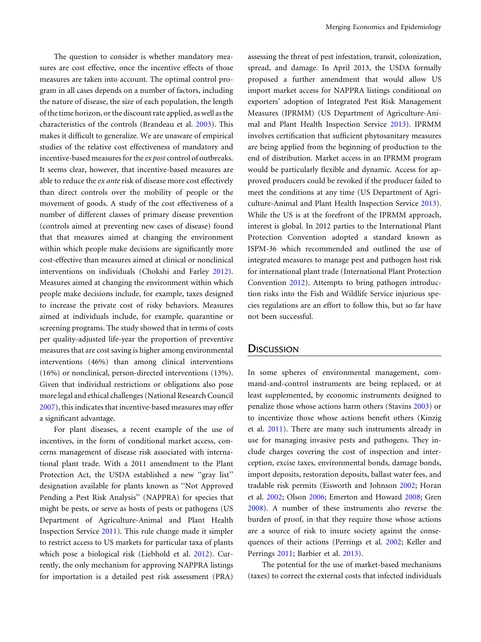The question to consider is whether mandatory measures are cost effective, once the incentive effects of those measures are taken into account. The optimal control program in all cases depends on a number of factors, including the nature of disease, the size of each population, the length of the time horizon, or the discount rate applied, as well as the characteristics of the controls (Brandeau et al. [2003\)](#page-8-0). This makes it difficult to generalize. We are unaware of empirical studies of the relative cost effectiveness of mandatory and incentive-based measures for the ex post control of outbreaks. It seems clear, however, that incentive-based measures are able to reduce the ex ante risk of disease more cost effectively than direct controls over the mobility of people or the movement of goods. A study of the cost effectiveness of a number of different classes of primary disease prevention (controls aimed at preventing new cases of disease) found that that measures aimed at changing the environment within which people make decisions are significantly more cost-effective than measures aimed at clinical or nonclinical interventions on individuals (Chokshi and Farley [2012\)](#page-8-0). Measures aimed at changing the environment within which people make decisions include, for example, taxes designed to increase the private cost of risky behaviors. Measures aimed at individuals include, for example, quarantine or screening programs. The study showed that in terms of costs per quality-adjusted life-year the proportion of preventive measures that are cost saving is higher among environmental interventions (46%) than among clinical interventions (16%) or nonclinical, person-directed interventions (13%). Given that individual restrictions or obligations also pose more legal and ethical challenges (National Research Council [2007](#page-10-0)), this indicates that incentive-based measures may offer a significant advantage.

For plant diseases, a recent example of the use of incentives, in the form of conditional market access, concerns management of disease risk associated with international plant trade. With a 2011 amendment to the Plant Protection Act, the USDA established a new ''gray list'' designation available for plants known as ''Not Approved Pending a Pest Risk Analysis'' (NAPPRA) for species that might be pests, or serve as hosts of pests or pathogens (US Department of Agriculture-Animal and Plant Health Inspection Service [2011\)](#page-11-0). This rule change made it simpler to restrict access to US markets for particular taxa of plants which pose a biological risk (Liebhold et al. [2012](#page-10-0)). Currently, the only mechanism for approving NAPPRA listings for importation is a detailed pest risk assessment (PRA)

assessing the threat of pest infestation, transit, colonization, spread, and damage. In April 2013, the USDA formally proposed a further amendment that would allow US import market access for NAPPRA listings conditional on exporters' adoption of Integrated Pest Risk Management Measures (IPRMM) (US Department of Agriculture-Animal and Plant Health Inspection Service [2013](#page-11-0)). IPRMM involves certification that sufficient phytosanitary measures are being applied from the beginning of production to the end of distribution. Market access in an IPRMM program would be particularly flexible and dynamic. Access for approved producers could be revoked if the producer failed to meet the conditions at any time (US Department of Agriculture-Animal and Plant Health Inspection Service [2013\)](#page-11-0). While the US is at the forefront of the IPRMM approach, interest is global. In 2012 parties to the International Plant Protection Convention adopted a standard known as ISPM-36 which recommended and outlined the use of integrated measures to manage pest and pathogen host risk for international plant trade (International Plant Protection Convention [2012\)](#page-9-0). Attempts to bring pathogen introduction risks into the Fish and Wildlife Service injurious species regulations are an effort to follow this, but so far have not been successful.

#### **DISCUSSION**

In some spheres of environmental management, command-and-control instruments are being replaced, or at least supplemented, by economic instruments designed to penalize those whose actions harm others (Stavins [2003\)](#page-11-0) or to incentivize those whose actions benefit others (Kinzig et al. [2011\)](#page-10-0). There are many such instruments already in use for managing invasive pests and pathogens. They include charges covering the cost of inspection and interception, excise taxes, environmental bonds, damage bonds, import deposits, restoration deposits, ballast water fees, and tradable risk permits (Eisworth and Johnson [2002;](#page-8-0) Horan et al. [2002](#page-9-0); Olson [2006;](#page-10-0) Emerton and Howard [2008](#page-8-0); Gren [2008](#page-9-0)). A number of these instruments also reverse the burden of proof, in that they require those whose actions are a source of risk to insure society against the consequences of their actions (Perrings et al. [2002;](#page-10-0) Keller and Perrings [2011;](#page-10-0) Barbier et al. [2013](#page-8-0)).

The potential for the use of market-based mechanisms (taxes) to correct the external costs that infected individuals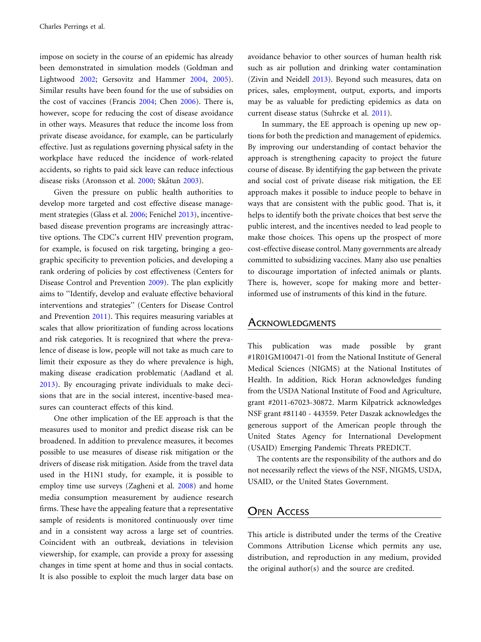impose on society in the course of an epidemic has already been demonstrated in simulation models (Goldman and Lightwood [2002;](#page-9-0) Gersovitz and Hammer [2004](#page-9-0), [2005\)](#page-9-0). Similar results have been found for the use of subsidies on the cost of vaccines (Francis [2004;](#page-9-0) Chen [2006\)](#page-8-0). There is, however, scope for reducing the cost of disease avoidance in other ways. Measures that reduce the income loss from private disease avoidance, for example, can be particularly effective. Just as regulations governing physical safety in the workplace have reduced the incidence of work-related accidents, so rights to paid sick leave can reduce infectious disease risks (Aronsson et al. [2000](#page-8-0); Skåtun [2003](#page-10-0)).

Given the pressure on public health authorities to develop more targeted and cost effective disease management strategies (Glass et al. [2006](#page-9-0); Fenichel [2013](#page-8-0)), incentivebased disease prevention programs are increasingly attractive options. The CDC's current HIV prevention program, for example, is focused on risk targeting, bringing a geographic specificity to prevention policies, and developing a rank ordering of policies by cost effectiveness (Centers for Disease Control and Prevention [2009](#page-8-0)). The plan explicitly aims to ''Identify, develop and evaluate effective behavioral interventions and strategies'' (Centers for Disease Control and Prevention [2011\)](#page-8-0). This requires measuring variables at scales that allow prioritization of funding across locations and risk categories. It is recognized that where the prevalence of disease is low, people will not take as much care to limit their exposure as they do where prevalence is high, making disease eradication problematic (Aadland et al. [2013](#page-8-0)). By encouraging private individuals to make decisions that are in the social interest, incentive-based measures can counteract effects of this kind.

One other implication of the EE approach is that the measures used to monitor and predict disease risk can be broadened. In addition to prevalence measures, it becomes possible to use measures of disease risk mitigation or the drivers of disease risk mitigation. Aside from the travel data used in the H1N1 study, for example, it is possible to employ time use surveys (Zagheni et al. [2008\)](#page-11-0) and home media consumption measurement by audience research firms. These have the appealing feature that a representative sample of residents is monitored continuously over time and in a consistent way across a large set of countries. Coincident with an outbreak, deviations in television viewership, for example, can provide a proxy for assessing changes in time spent at home and thus in social contacts. It is also possible to exploit the much larger data base on

avoidance behavior to other sources of human health risk such as air pollution and drinking water contamination (Zivin and Neidell [2013\)](#page-11-0). Beyond such measures, data on prices, sales, employment, output, exports, and imports may be as valuable for predicting epidemics as data on current disease status (Suhrcke et al. [2011](#page-11-0)).

In summary, the EE approach is opening up new options for both the prediction and management of epidemics. By improving our understanding of contact behavior the approach is strengthening capacity to project the future course of disease. By identifying the gap between the private and social cost of private disease risk mitigation, the EE approach makes it possible to induce people to behave in ways that are consistent with the public good. That is, it helps to identify both the private choices that best serve the public interest, and the incentives needed to lead people to make those choices. This opens up the prospect of more cost-effective disease control. Many governments are already committed to subsidizing vaccines. Many also use penalties to discourage importation of infected animals or plants. There is, however, scope for making more and betterinformed use of instruments of this kind in the future.

#### **ACKNOWLEDGMENTS**

This publication was made possible by grant #1R01GM100471-01 from the National Institute of General Medical Sciences (NIGMS) at the National Institutes of Health. In addition, Rick Horan acknowledges funding from the USDA National Institute of Food and Agriculture, grant #2011-67023-30872. Marm Kilpatrick acknowledges NSF grant #81140 - 443559. Peter Daszak acknowledges the generous support of the American people through the United States Agency for International Development (USAID) Emerging Pandemic Threats PREDICT.

The contents are the responsibility of the authors and do not necessarily reflect the views of the NSF, NIGMS, USDA, USAID, or the United States Government.

#### OPEN ACCESS

This article is distributed under the terms of the Creative Commons Attribution License which permits any use, distribution, and reproduction in any medium, provided the original author(s) and the source are credited.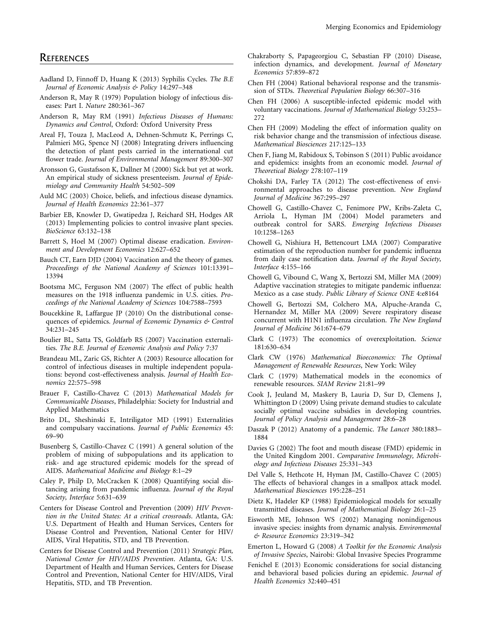#### <span id="page-8-0"></span>**REFERENCES**

- Aadland D, Finnoff D, Huang K (2013) Syphilis Cycles. The B.E Journal of Economic Analysis & Policy 14:297–348
- Anderson R, May R (1979) Population biology of infectious diseases: Part I. Nature 280:361–367
- Anderson R, May RM (1991) Infectious Diseases of Humans: Dynamics and Control, Oxford: Oxford University Press
- Areal FJ, Touza J, MacLeod A, Dehnen-Schmutz K, Perrings C, Palmieri MG, Spence NJ (2008) Integrating drivers influencing the detection of plant pests carried in the international cut flower trade. Journal of Environmental Management 89:300–307
- Aronsson G, Gustafsson K, Dallner M (2000) Sick but yet at work. An empirical study of sickness presenteeism. Journal of Epidemiology and Community Health 54:502–509
- Auld MC (2003) Choice, beliefs, and infectious disease dynamics. Journal of Health Economics 22:361–377
- Barbier EB, Knowler D, Gwatipedza J, Reichard SH, Hodges AR (2013) Implementing policies to control invasive plant species. BioScience 63:132–138
- Barrett S, Hoel M (2007) Optimal disease eradication. Environment and Development Economics 12:627–652
- Bauch CT, Earn DJD (2004) Vaccination and the theory of games. Proceedings of the National Academy of Sciences 101:13391– 13394
- Bootsma MC, Ferguson NM (2007) The effect of public health measures on the 1918 influenza pandemic in U.S. cities. Proceedings of the National Academy of Sciences 104:7588–7593
- Boucekkine R, Laffargue JP (2010) On the distributional consequences of epidemics. Journal of Economic Dynamics & Control 34:231–245
- Boulier BL, Satta TS, Goldfarb RS (2007) Vaccination externalities. The B.E. Journal of Economic Analysis and Policy 7:37
- Brandeau ML, Zaric GS, Richter A (2003) Resource allocation for control of infectious diseases in multiple independent populations: beyond cost-effectiveness analysis. Journal of Health Economics 22:575–598
- Brauer F, Castillo-Chavez C (2013) Mathematical Models for Communicable Diseases, Philadelphia: Society for Industrial and Applied Mathematics
- Brito DL, Sheshinski E, Intriligator MD (1991) Externalities and compulsary vaccinations. Journal of Public Economics 45: 69–90
- Busenberg S, Castillo-Chavez C (1991) A general solution of the problem of mixing of subpopulations and its application to risk- and age structured epidemic models for the spread of AIDS. Mathematical Medicine and Biology 8:1–29
- Caley P, Philp D, McCracken K (2008) Quantifying social distancing arising from pandemic influenza. Journal of the Royal Society, Interface 5:631–639
- Centers for Disease Control and Prevention (2009) HIV Prevention in the United States: At a critical crossroads. Atlanta, GA: U.S. Department of Health and Human Services, Centers for Disease Control and Prevention, National Center for HIV/ AIDS, Viral Hepatitis, STD, and TB Prevention.
- Centers for Disease Control and Prevention (2011) Strategic Plan, National Center for HIV/AIDS Prevention. Atlanta, GA: U.S. Department of Health and Human Services, Centers for Disease Control and Prevention, National Center for HIV/AIDS, Viral Hepatitis, STD, and TB Prevention.
- Chakraborty S, Papageorgiou C, Sebastian FP (2010) Disease, infection dynamics, and development. Journal of Monetary Economics 57:859–872
- Chen FH (2004) Rational behavioral response and the transmission of STDs. Theoretical Population Biology 66:307–316
- Chen FH (2006) A susceptible-infected epidemic model with voluntary vaccinations. Journal of Mathematical Biology 53:253– 272
- Chen FH (2009) Modeling the effect of information quality on risk behavior change and the transmission of infectious disease. Mathematical Biosciences 217:125–133
- Chen F, Jiang M, Rabidoux S, Tobinson S (2011) Public avoidance and epidemics: insights from an economic model. Journal of Theoretical Biology 278:107–119
- Chokshi DA, Farley TA (2012) The cost-effectiveness of environmental approaches to disease prevention. New England Journal of Medicine 367:295–297
- Chowell G, Castillo-Chavez C, Fenimore PW, Kribs-Zaleta C, Arriola L, Hyman JM (2004) Model parameters and outbreak control for SARS. Emerging Infectious Diseases 10:1258–1263
- Chowell G, Nishiura H, Bettencourt LMA (2007) Comparative estimation of the reproduction number for pandemic influenza from daily case notification data. Journal of the Royal Society, Interface 4:155–166
- Chowell G, Vibound C, Wang X, Bertozzi SM, Miller MA (2009) Adaptive vaccination strategies to mitigate pandemic influenza: Mexico as a case study. Public Library of Science ONE 4:e8164
- Chowell G, Bertozzi SM, Colchero MA, Alpuche-Aranda C, Hernandez M, Miller MA (2009) Severe respiratory disease concurrent with H1N1 influenza circulation. The New England Journal of Medicine 361:674–679
- Clark C (1973) The economics of overexploitation. Science 181:630–634
- Clark CW (1976) Mathematical Bioeconomics: The Optimal Management of Renewable Resources, New York: Wiley
- Clark C (1979) Mathematical models in the economics of renewable resources. SIAM Review 21:81–99
- Cook J, Jeuland M, Maskery B, Lauria D, Sur D, Clemens J, Whittington D (2009) Using private demand studies to calculate socially optimal vaccine subsidies in developing countries. Journal of Policy Analysis and Management 28:6–28
- Daszak P (2012) Anatomy of a pandemic. The Lancet 380:1883– 1884
- Davies G (2002) The foot and mouth disease (FMD) epidemic in the United Kingdom 2001. Comparative Immunology, Microbiology and Infectious Diseases 25:331–343
- Del Valle S, Hethcote H, Hyman JM, Castillo-Chavez C (2005) The effects of behavioral changes in a smallpox attack model. Mathematical Biosciences 195:228–251
- Dietz K, Hadeler KP (1988) Epidemiological models for sexually transmitted diseases. Journal of Mathematical Biology 26:1–25
- Eisworth ME, Johnson WS (2002) Managing nonindigenous invasive species: insights from dynamic analysis. Environmental & Resource Economics 23:319–342
- Emerton L, Howard G (2008) A Toolkit for the Economic Analysis of Invasive Species, Nairobi: Global Invasive Species Programme
- Fenichel E (2013) Economic considerations for social distancing and behavioral based policies during an epidemic. Journal of Health Economics 32:440–451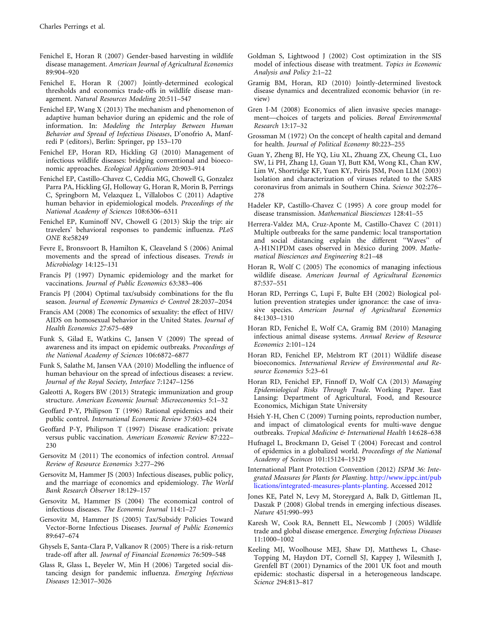- <span id="page-9-0"></span>Fenichel E, Horan R (2007) Gender-based harvesting in wildlife disease management. American Journal of Agricultural Economics 89:904–920
- Fenichel E, Horan R (2007) Jointly-determined ecological thresholds and economics trade-offs in wildlife disease management. Natural Resources Modeling 20:511–547
- Fenichel EP, Wang X (2013) The mechanism and phenomenon of adaptive human behavior during an epidemic and the role of information. In: Modeling the Interplay Between Human Behavior and Spread of Infectious Diseases, D'onofrio A, Manfredi P (editors), Berlin: Springer, pp 153–170
- Fenichel EP, Horan RD, Hickling GJ (2010) Management of infectious wildlife diseases: bridging conventional and bioeconomic approaches. Ecological Applications 20:903–914
- Fenichel EP, Castillo-Chavez C, Ceddia MG, Chowell G, Gonzalez Parra PA, Hickling GJ, Holloway G, Horan R, Morin B, Perrings C, Springborn M, Velazquez L, Villalobos C (2011) Adaptive human behavior in epidemiological models. Proceedings of the National Academy of Sciences 108:6306–6311
- Fenichel EP, Kuminoff NV, Chowell G (2013) Skip the trip: air travelers' behavioral responses to pandemic influenza. PLoS ONE 8:e58249
- Fevre E, Bronsvoort B, Hamilton K, Cleaveland S (2006) Animal movements and the spread of infectious diseases. Trends in Microbiology 14:125–131
- Francis PJ (1997) Dynamic epidemiology and the market for vaccinations. Journal of Public Economics 63:383–406
- Francis PJ (2004) Optimal tax/subsidy combinations for the flu season. Journal of Economic Dynamics & Control 28:2037-2054
- Francis AM (2008) The economics of sexuality: the effect of HIV/ AIDS on homosexual behavior in the United States. Journal of Health Economics 27:675–689
- Funk S, Gilad E, Watkins C, Jansen V (2009) The spread of awareness and its impact on epidemic outbreaks. Proceedings of the National Academy of Sciences 106:6872–6877
- Funk S, Salathe M, Jansen VAA (2010) Modelling the influence of human behaviour on the spread of infectious diseases: a review. Journal of the Royal Society, Interface 7:1247–1256
- Galeotti A, Rogers BW (2013) Strategic immunization and group structure. American Economic Journal: Microeconomics 5:1–32
- Geoffard P-Y, Philipson T (1996) Rational epidemics and their public control. International Economic Review 37:603–624
- Geoffard P-Y, Philipson T (1997) Disease eradication: private versus public vaccination. American Economic Review 87:222– 230
- Gersovitz M (2011) The economics of infection control. Annual Review of Resource Economics 3:277–296
- Gersovitz M, Hammer JS (2003) Infectious diseases, public policy, and the marriage of economics and epidemiology. The World Bank Research Observer 18:129–157
- Gersovitz M, Hammer JS (2004) The economical control of infectious diseases. The Economic Journal 114:1–27
- Gersovitz M, Hammer JS (2005) Tax/Subsidy Policies Toward Vector-Borne Infectious Diseases. Journal of Public Economics 89:647–674
- Ghysels E, Santa-Clara P, Valkanov R (2005) There is a risk-return trade-off after all. Journal of Financial Economics 76:509–548
- Glass R, Glass L, Beyeler W, Min H (2006) Targeted social distancing design for pandemic influenza. Emerging Infectious Diseases 12:3017–3026
- Goldman S, Lightwood J (2002) Cost optimization in the SIS model of infectious disease with treatment. Topics in Economic Analysis and Policy 2:1–22
- Gramig BM, Horan, RD (2010) Jointly-determined livestock disease dynamics and decentralized economic behavior (in review)
- Gren I-M (2008) Economics of alien invasive species management—choices of targets and policies. Boreal Environmental Research 13:17–32
- Grossman M (1972) On the concept of health capital and demand for health. Journal of Political Economy 80:223–255
- Guan Y, Zheng BJ, He YQ, Liu XL, Zhuang ZX, Cheung CL, Luo SW, Li PH, Zhang LJ, Guan YJ, Butt KM, Wong KL, Chan KW, Lim W, Shortridge KF, Yuen KY, Peiris JSM, Poon LLM (2003) Isolation and characterization of viruses related to the SARS coronavirus from animals in Southern China. Science 302:276– 278
- Hadeler KP, Castillo-Chavez C (1995) A core group model for disease transmission. Mathematical Biosciences 128:41–55
- Herrera-Valdez MA, Cruz-Aponte M, Castillo-Chavez C (2011) Multiple outbreaks for the same pandemic: local transportation and social distancing explain the different ''Waves'' of A-H1N1PDM cases observed in México during 2009. Mathematical Biosciences and Engineering 8:21–48
- Horan R, Wolf C (2005) The economics of managing infectious wildlife disease. American Journal of Agricultural Economics 87:537–551
- Horan RD, Perrings C, Lupi F, Bulte EH (2002) Biological pollution prevention strategies under ignorance: the case of invasive species. American Journal of Agricultural Economics 84:1303–1310
- Horan RD, Fenichel E, Wolf CA, Gramig BM (2010) Managing infectious animal disease systems. Annual Review of Resource Economics 2:101–124
- Horan RD, Fenichel EP, Melstrom RT (2011) Wildlife disease bioeconomics. International Review of Environmental and Resource Economics 5:23–61
- Horan RD, Fenichel EP, Finnoff D, Wolf CA (2013) Managing Epidemiological Risks Through Trade. Working Paper. East Lansing: Department of Agricultural, Food, and Resource Economics, Michigan State University
- Hsieh Y-H, Chen C (2009) Turning points, reproduction number, and impact of climatological events for multi-wave dengue outbreaks. Tropical Medicine & International Health 14:628–638
- Hufnagel L, Brockmann D, Geisel T (2004) Forecast and control of epidemics in a globalized world. Proceedings of the National Academy of Sceinces 101:15124–15129
- International Plant Protection Convention (2012) ISPM 36: Integrated Measures for Plants for Planting. [http://www.ippc.int/pub](http://www.ippc.int/publications/integrated-measures-plants-planting) [lications/integrated-measures-plants-planting.](http://www.ippc.int/publications/integrated-measures-plants-planting) Accessed 2012
- Jones KE, Patel N, Levy M, Storeygard A, Balk D, Gittleman JL, Daszak P (2008) Global trends in emerging infectious diseases. Nature 451:990–993
- Karesh W, Cook RA, Bennett EL, Newcomb J (2005) Wildlife trade and global disease emergence. Emerging Infectious Diseases 11:1000–1002
- Keeling MJ, Woolhouse MEJ, Shaw DJ, Matthews L, Chase-Topping M, Haydon DT, Cornell SJ, Kappey J, Wilesmith J, Grenfell BT (2001) Dynamics of the 2001 UK foot and mouth epidemic: stochastic dispersal in a heterogeneous landscape. Science 294:813–817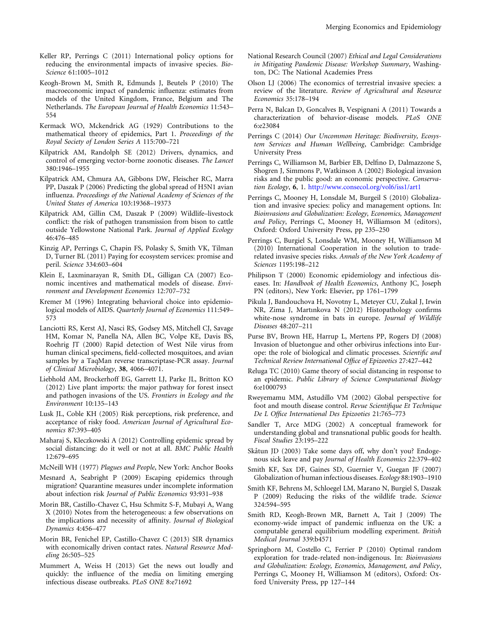- <span id="page-10-0"></span>Keller RP, Perrings C (2011) International policy options for reducing the environmental impacts of invasive species. Bio-Science 61:1005–1012
- Keogh-Brown M, Smith R, Edmunds J, Beutels P (2010) The macroeconomic impact of pandemic influenza: estimates from models of the United Kingdom, France, Belgium and The Netherlands. The European Journal of Health Economics 11:543– 554
- Kermack WO, Mckendrick AG (1929) Contributions to the mathematical theory of epidemics, Part 1. Proceedings of the Royal Society of London Series A 115:700–721
- Kilpatrick AM, Randolph SE (2012) Drivers, dynamics, and control of emerging vector-borne zoonotic diseases. The Lancet 380:1946–1955
- Kilpatrick AM, Chmura AA, Gibbons DW, Fleischer RC, Marra PP, Daszak P (2006) Predicting the global spread of H5N1 avian influenza. Proceedings of the National Academy of Sciences of the United States of America 103:19368–19373
- Kilpatrick AM, Gillin CM, Daszak P (2009) Wildlife–livestock conflict: the risk of pathogen transmission from bison to cattle outside Yellowstone National Park. Journal of Applied Ecology 46:476–485
- Kinzig AP, Perrings C, Chapin FS, Polasky S, Smith VK, Tilman D, Turner BL (2011) Paying for ecosystem services: promise and peril. Science 334:603–604
- Klein E, Laxminarayan R, Smith DL, Gilligan CA (2007) Economic incentives and mathematical models of disease. Environment and Development Economics 12:707–732
- Kremer M (1996) Integrating behavioral choice into epidemiological models of AIDS. Quarterly Journal of Economics 111:549– 573
- Lanciotti RS, Kerst AJ, Nasci RS, Godsey MS, Mitchell CJ, Savage HM, Komar N, Panella NA, Allen BC, Volpe KE, Davis BS, Roehrig JT (2000) Rapid detection of West Nile virus from human clinical specimens, field-collected mosquitoes, and avian samples by a TaqMan reverse transcriptase-PCR assay. Journal of Clinical Microbiology, 38, 4066–4071.
- Liebhold AM, Brockerhoff EG, Garrett LJ, Parke JL, Britton KO (2012) Live plant imports: the major pathway for forest insect and pathogen invasions of the US. Frontiers in Ecology and the Environment 10:135–143
- Lusk JL, Coble KH (2005) Risk perceptions, risk preference, and acceptance of risky food. American Journal of Agricultural Economics 87:393–405
- Maharaj S, Kleczkowski A (2012) Controlling epidemic spread by social distancing: do it well or not at all. BMC Public Health 12:679–695
- McNeill WH (1977) Plagues and People, New York: Anchor Books
- Mesnard A, Seabright P (2009) Escaping epidemics through migration? Quarantine measures under incomplete information about infection risk Journal of Public Economics 93:931–938
- Morin BR, Castillo-Chavez C, Hsu Schmitz S-F, Mubayi A, Wang X (2010) Notes from the heterogeneous: a few observations on the implications and necessity of affinity. Journal of Biological Dynamics 4:456–477
- Morin BR, Fenichel EP, Castillo-Chavez C (2013) SIR dynamics with economically driven contact rates. Natural Resource Modeling 26:505–525
- Mummert A, Weiss H (2013) Get the news out loudly and quickly: the influence of the media on limiting emerging infectious disease outbreaks. PLoS ONE 8:e71692
- National Research Council (2007) Ethical and Legal Considerations in Mitigating Pandemic Disease: Workshop Summary, Washington, DC: The National Academies Press
- Olson LJ (2006) The economics of terrestrial invasive species: a review of the literature. Review of Agricultural and Resource Economics 35:178–194
- Perra N, Balcan D, Goncalves B, Vespignani A (2011) Towards a characterization of behavior-disease models. PLoS ONE 6:e23084
- Perrings C (2014) Our Uncommon Heritage: Biodiversity, Ecosystem Services and Human Wellbeing, Cambridge: Cambridge University Press
- Perrings C, Williamson M, Barbier EB, Delfino D, Dalmazzone S, Shogren J, Simmons P, Watkinson A (2002) Biological invasion risks and the public good: an economic perspective. Conservation Ecology, 6, 1. <http://www.consecol.org/vol6/iss1/art1>
- Perrings C, Mooney H, Lonsdale M, Burgeil S (2010) Globalization and invasive species: policy and management options. In: Bioinvasions and Globalization: Ecology, Economics, Management and Policy, Perrings C, Mooney H, Williamson M (editors), Oxford: Oxford University Press, pp 235–250
- Perrings C, Burgiel S, Lonsdale WM, Mooney H, Williamson M (2010) International Cooperation in the solution to traderelated invasive species risks. Annals of the New York Academy of Sciences 1195:198–212
- Philipson T (2000) Economic epidemiology and infectious diseases. In: Handbook of Health Economics, Anthony JC, Joseph PN (editors), New York: Elsevier, pp 1761–1799
- Pikula J, Bandouchova H, Novotny L, Meteyer CU, Zukal J, Irwin NR, Zima J, Martınkova N (2012) Histopathology confirms white-nose syndrome in bats in europe. Journal of Wildlife Diseases 48:207–211
- Purse BV, Brown HE, Harrup L, Mertens PP, Rogers DJ (2008) Invasion of bluetongue and other orbivirus infections into Europe: the role of biological and climatic processes. Scientific and Technical Review International Office of Epizootics 27:427–442
- Reluga TC (2010) Game theory of social distancing in response to an epidemic. Public Library of Science Computational Biology 6:e1000793
- Rweyemamu MM, Astudillo VM (2002) Global perspective for foot and mouth disease control. Revue Scientifique Et Technique De L Office International Des Epizooties 21:765–773
- Sandler T, Arce MDG (2002) A conceptual framework for understanding global and transnational public goods for health. Fiscal Studies 23:195–222
- Skåtun JD (2003) Take some days off, why don't you? Endogenous sick leave and pay Journal of Health Economics 22:379–402
- Smith KF, Sax DF, Gaines SD, Guernier V, Guegan JF (2007) Globalization of human infectious diseases. Ecology 88:1903–1910
- Smith KF, Behrens M, Schloegel LM, Marano N, Burgiel S, Daszak P (2009) Reducing the risks of the wildlife trade. Science 324:594–595
- Smith RD, Keogh-Brown MR, Barnett A, Tait J (2009) The economy-wide impact of pandemic influenza on the UK: a computable general equilibrium modelling experiment. British Medical Journal 339:b4571
- Springborn M, Costello C, Ferrier P (2010) Optimal random exploration for trade-related non-indigenous. In: Bioinvasions and Globalization: Ecology, Economics, Management, and Policy, Perrings C, Mooney H, Williamson M (editors), Oxford: Oxford University Press, pp 127–144